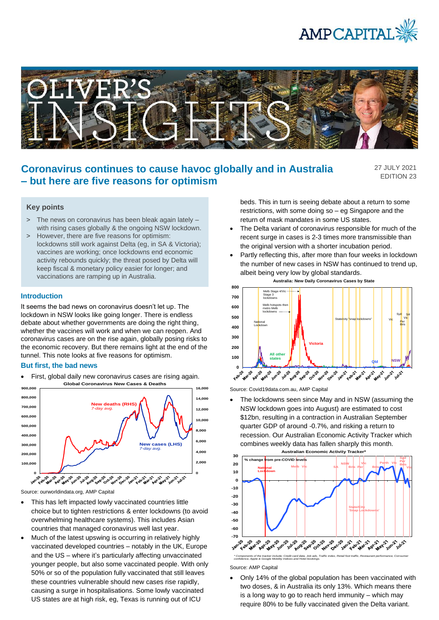



# **Coronavirus continues to cause havoc globally and in Australia – but here are five reasons for optimism**

27 JULY 2021 EDITION 23

## **Key points**

- > The news on coronavirus has been bleak again lately with rising cases globally & the ongoing NSW lockdown.
- > However, there are five reasons for optimism: lockdowns still work against Delta (eg, in SA & Victoria); vaccines are working; once lockdowns end economic activity rebounds quickly; the threat posed by Delta will keep fiscal & monetary policy easier for longer; and vaccinations are ramping up in Australia.

### **Introduction**

It seems the bad news on coronavirus doesn't let up. The lockdown in NSW looks like going longer. There is endless debate about whether governments are doing the right thing, whether the vaccines will work and when we can reopen. And coronavirus cases are on the rise again, globally posing risks to the economic recovery. But there remains light at the end of the tunnel. This note looks at five reasons for optimism.

## **But first, the bad news**

• First, global daily new coronavirus cases are rising again. **900,000 Global Coronavirus New Cases & Deaths**



Source: ourworldindata.org, AMP Capital

- This has left impacted lowly vaccinated countries little choice but to tighten restrictions & enter lockdowns (to avoid overwhelming healthcare systems). This includes Asian countries that managed coronavirus well last year.
- Much of the latest upswing is occurring in relatively highly vaccinated developed countries – notably in the UK, Europe and the US – where it's particularly affecting unvaccinated younger people, but also some vaccinated people. With only 50% or so of the population fully vaccinated that still leaves these countries vulnerable should new cases rise rapidly, causing a surge in hospitalisations. Some lowly vaccinated US states are at high risk, eg, Texas is running out of ICU

beds. This in turn is seeing debate about a return to some restrictions, with some doing so – eg Singapore and the return of mask mandates in some US states.

- The Delta variant of coronavirus responsible for much of the recent surge in cases is 2-3 times more transmissible than the original version with a shorter incubation period.
- Partly reflecting this, after more than four weeks in lockdown the number of new cases in NSW has continued to trend up, albeit being very low by global standards.



Source: Covid19data.com.au, AMP Capital

The lockdowns seen since May and in NSW (assuming the NSW lockdown goes into August) are estimated to cost \$12bn, resulting in a contraction in Australian September quarter GDP of around -0.7%, and risking a return to recession. Our Australian Economic Activity Tracker which combines weekly data has fallen sharply this month.



Source: AMP Capital

• Only 14% of the global population has been vaccinated with two doses, & in Australia its only 13%. Which means there is a long way to go to reach herd immunity – which may require 80% to be fully vaccinated given the Delta variant.